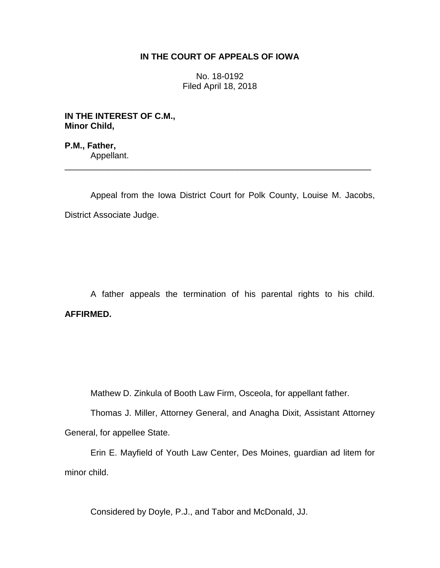# **IN THE COURT OF APPEALS OF IOWA**

No. 18-0192 Filed April 18, 2018

**IN THE INTEREST OF C.M., Minor Child,**

**P.M., Father,** Appellant.

Appeal from the Iowa District Court for Polk County, Louise M. Jacobs, District Associate Judge.

\_\_\_\_\_\_\_\_\_\_\_\_\_\_\_\_\_\_\_\_\_\_\_\_\_\_\_\_\_\_\_\_\_\_\_\_\_\_\_\_\_\_\_\_\_\_\_\_\_\_\_\_\_\_\_\_\_\_\_\_\_\_\_\_

A father appeals the termination of his parental rights to his child. **AFFIRMED.**

Mathew D. Zinkula of Booth Law Firm, Osceola, for appellant father.

Thomas J. Miller, Attorney General, and Anagha Dixit, Assistant Attorney General, for appellee State.

Erin E. Mayfield of Youth Law Center, Des Moines, guardian ad litem for minor child.

Considered by Doyle, P.J., and Tabor and McDonald, JJ.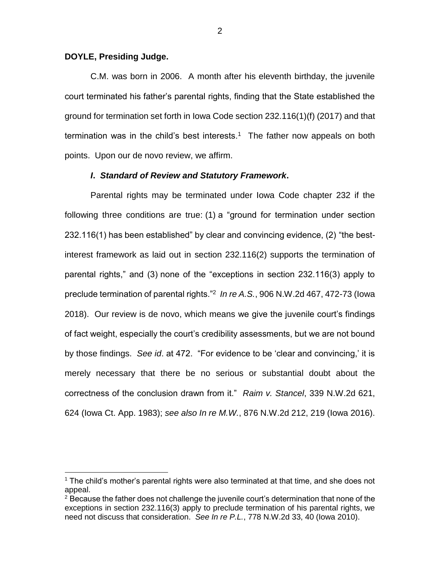# **DOYLE, Presiding Judge.**

 $\overline{a}$ 

C.M. was born in 2006. A month after his eleventh birthday, the juvenile court terminated his father's parental rights, finding that the State established the ground for termination set forth in Iowa Code section 232.116(1)(f) (2017) and that termination was in the child's best interests.<sup>1</sup> The father now appeals on both points. Upon our de novo review, we affirm.

# *I***.** *Standard of Review and Statutory Framework***.**

Parental rights may be terminated under Iowa Code chapter 232 if the following three conditions are true: (1) a "ground for termination under section 232.116(1) has been established" by clear and convincing evidence, (2) "the bestinterest framework as laid out in section 232.116(2) supports the termination of parental rights," and (3) none of the "exceptions in section 232.116(3) apply to preclude termination of parental rights."<sup>2</sup> *In re A.S.*, 906 N.W.2d 467, 472-73 (Iowa 2018). Our review is de novo, which means we give the juvenile court's findings of fact weight, especially the court's credibility assessments, but we are not bound by those findings. *See id*. at 472. "For evidence to be 'clear and convincing,' it is merely necessary that there be no serious or substantial doubt about the correctness of the conclusion drawn from it." *Raim v. Stancel*, 339 N.W.2d 621, 624 (Iowa Ct. App. 1983); *see also In re M.W.*, 876 N.W.2d 212, 219 (Iowa 2016).

<sup>1</sup> The child's mother's parental rights were also terminated at that time, and she does not appeal.

 $2$  Because the father does not challenge the juvenile court's determination that none of the exceptions in section 232.116(3) apply to preclude termination of his parental rights, we need not discuss that consideration. *See In re P.L.*, 778 N.W.2d 33, 40 (Iowa 2010).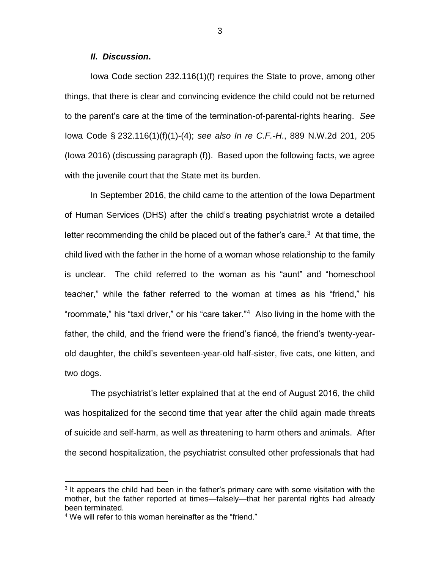# *II***.** *Discussion***.**

Iowa Code section 232.116(1)(f) requires the State to prove, among other things, that there is clear and convincing evidence the child could not be returned to the parent's care at the time of the termination-of-parental-rights hearing. *See*  Iowa Code § 232.116(1)(f)(1)-(4); *see also In re C.F.-H*., 889 N.W.2d 201, 205 (Iowa 2016) (discussing paragraph (f)). Based upon the following facts, we agree with the juvenile court that the State met its burden.

In September 2016, the child came to the attention of the Iowa Department of Human Services (DHS) after the child's treating psychiatrist wrote a detailed letter recommending the child be placed out of the father's care.<sup>3</sup> At that time, the child lived with the father in the home of a woman whose relationship to the family is unclear. The child referred to the woman as his "aunt" and "homeschool teacher," while the father referred to the woman at times as his "friend," his "roommate," his "taxi driver," or his "care taker."<sup>4</sup> Also living in the home with the father, the child, and the friend were the friend's fiancé, the friend's twenty-yearold daughter, the child's seventeen-year-old half-sister, five cats, one kitten, and two dogs.

The psychiatrist's letter explained that at the end of August 2016, the child was hospitalized for the second time that year after the child again made threats of suicide and self-harm, as well as threatening to harm others and animals. After the second hospitalization, the psychiatrist consulted other professionals that had

 $\overline{a}$ 

 $3$  It appears the child had been in the father's primary care with some visitation with the mother, but the father reported at times—falsely—that her parental rights had already been terminated.

<sup>&</sup>lt;sup>4</sup> We will refer to this woman hereinafter as the "friend."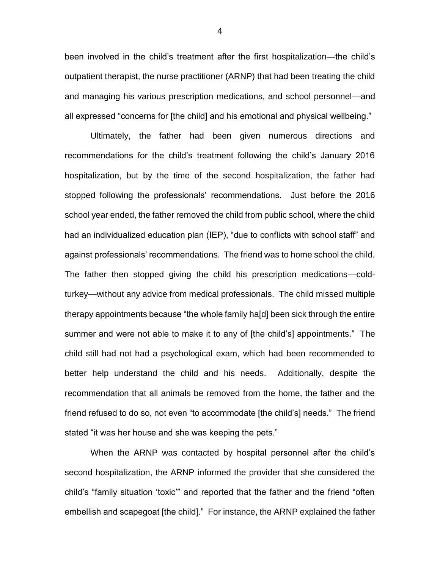been involved in the child's treatment after the first hospitalization—the child's outpatient therapist, the nurse practitioner (ARNP) that had been treating the child and managing his various prescription medications, and school personnel—and all expressed "concerns for [the child] and his emotional and physical wellbeing."

Ultimately, the father had been given numerous directions and recommendations for the child's treatment following the child's January 2016 hospitalization, but by the time of the second hospitalization, the father had stopped following the professionals' recommendations. Just before the 2016 school year ended, the father removed the child from public school, where the child had an individualized education plan (IEP), "due to conflicts with school staff" and against professionals' recommendations. The friend was to home school the child. The father then stopped giving the child his prescription medications—coldturkey—without any advice from medical professionals. The child missed multiple therapy appointments because "the whole family ha[d] been sick through the entire summer and were not able to make it to any of [the child's] appointments." The child still had not had a psychological exam, which had been recommended to better help understand the child and his needs. Additionally, despite the recommendation that all animals be removed from the home, the father and the friend refused to do so, not even "to accommodate [the child's] needs." The friend stated "it was her house and she was keeping the pets."

When the ARNP was contacted by hospital personnel after the child's second hospitalization, the ARNP informed the provider that she considered the child's "family situation 'toxic'" and reported that the father and the friend "often embellish and scapegoat [the child]." For instance, the ARNP explained the father

4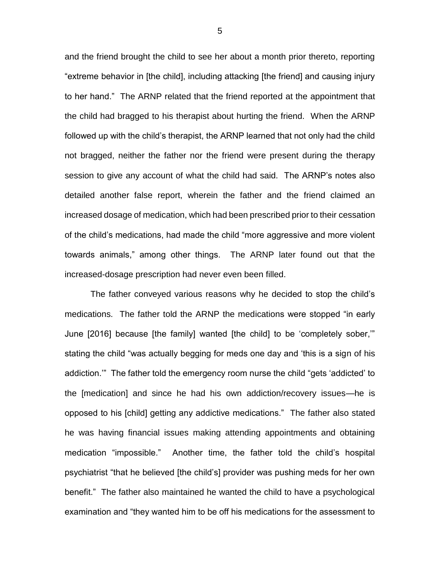and the friend brought the child to see her about a month prior thereto, reporting "extreme behavior in [the child], including attacking [the friend] and causing injury to her hand." The ARNP related that the friend reported at the appointment that the child had bragged to his therapist about hurting the friend. When the ARNP followed up with the child's therapist, the ARNP learned that not only had the child not bragged, neither the father nor the friend were present during the therapy session to give any account of what the child had said. The ARNP's notes also detailed another false report, wherein the father and the friend claimed an increased dosage of medication, which had been prescribed prior to their cessation of the child's medications, had made the child "more aggressive and more violent towards animals," among other things. The ARNP later found out that the increased-dosage prescription had never even been filled.

The father conveyed various reasons why he decided to stop the child's medications. The father told the ARNP the medications were stopped "in early June [2016] because [the family] wanted [the child] to be 'completely sober,'" stating the child "was actually begging for meds one day and 'this is a sign of his addiction.'" The father told the emergency room nurse the child "gets 'addicted' to the [medication] and since he had his own addiction/recovery issues—he is opposed to his [child] getting any addictive medications." The father also stated he was having financial issues making attending appointments and obtaining medication "impossible." Another time, the father told the child's hospital psychiatrist "that he believed [the child's] provider was pushing meds for her own benefit." The father also maintained he wanted the child to have a psychological examination and "they wanted him to be off his medications for the assessment to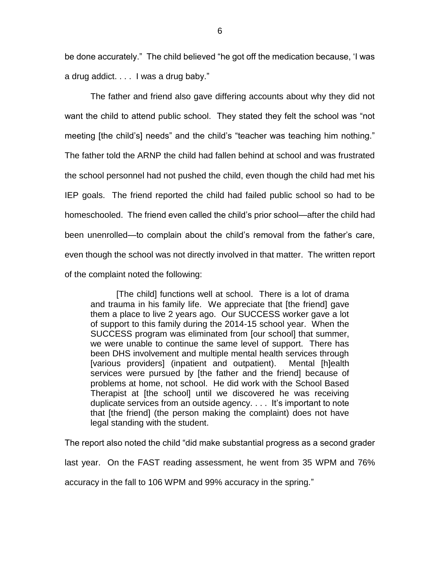be done accurately." The child believed "he got off the medication because, 'I was a drug addict. . . . I was a drug baby."

The father and friend also gave differing accounts about why they did not want the child to attend public school. They stated they felt the school was "not meeting [the child's] needs" and the child's "teacher was teaching him nothing." The father told the ARNP the child had fallen behind at school and was frustrated the school personnel had not pushed the child, even though the child had met his IEP goals. The friend reported the child had failed public school so had to be homeschooled. The friend even called the child's prior school—after the child had been unenrolled—to complain about the child's removal from the father's care, even though the school was not directly involved in that matter. The written report of the complaint noted the following:

[The child] functions well at school. There is a lot of drama and trauma in his family life. We appreciate that [the friend] gave them a place to live 2 years ago. Our SUCCESS worker gave a lot of support to this family during the 2014-15 school year. When the SUCCESS program was eliminated from [our school] that summer, we were unable to continue the same level of support. There has been DHS involvement and multiple mental health services through [various providers] (inpatient and outpatient). Mental [h]ealth services were pursued by [the father and the friend] because of problems at home, not school. He did work with the School Based Therapist at [the school] until we discovered he was receiving duplicate services from an outside agency. . . . It's important to note that [the friend] (the person making the complaint) does not have legal standing with the student.

The report also noted the child "did make substantial progress as a second grader last year. On the FAST reading assessment, he went from 35 WPM and 76% accuracy in the fall to 106 WPM and 99% accuracy in the spring."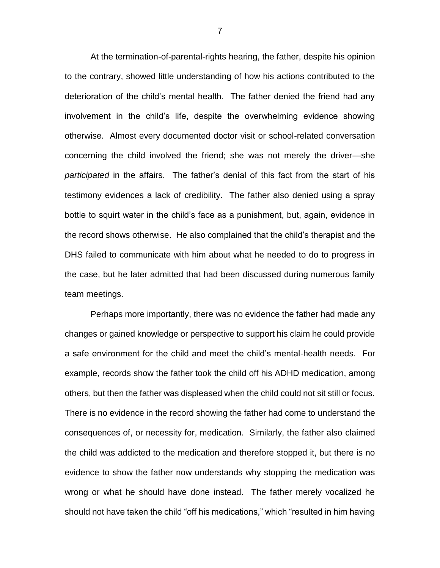At the termination-of-parental-rights hearing, the father, despite his opinion to the contrary, showed little understanding of how his actions contributed to the deterioration of the child's mental health. The father denied the friend had any involvement in the child's life, despite the overwhelming evidence showing otherwise. Almost every documented doctor visit or school-related conversation concerning the child involved the friend; she was not merely the driver—she *participated* in the affairs. The father's denial of this fact from the start of his testimony evidences a lack of credibility. The father also denied using a spray bottle to squirt water in the child's face as a punishment, but, again, evidence in the record shows otherwise. He also complained that the child's therapist and the DHS failed to communicate with him about what he needed to do to progress in the case, but he later admitted that had been discussed during numerous family team meetings.

Perhaps more importantly, there was no evidence the father had made any changes or gained knowledge or perspective to support his claim he could provide a safe environment for the child and meet the child's mental-health needs. For example, records show the father took the child off his ADHD medication, among others, but then the father was displeased when the child could not sit still or focus. There is no evidence in the record showing the father had come to understand the consequences of, or necessity for, medication. Similarly, the father also claimed the child was addicted to the medication and therefore stopped it, but there is no evidence to show the father now understands why stopping the medication was wrong or what he should have done instead. The father merely vocalized he should not have taken the child "off his medications," which "resulted in him having

7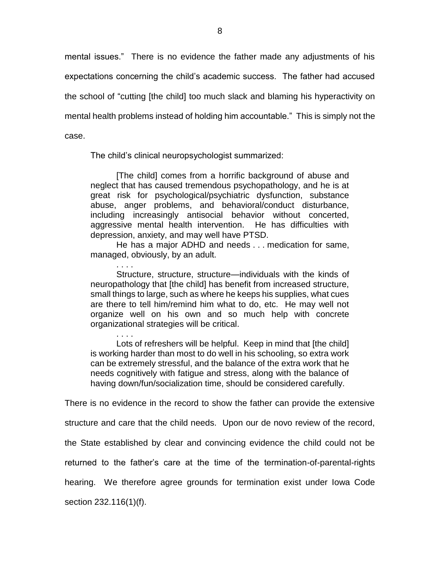mental issues." There is no evidence the father made any adjustments of his expectations concerning the child's academic success. The father had accused the school of "cutting [the child] too much slack and blaming his hyperactivity on mental health problems instead of holding him accountable." This is simply not the case.

The child's clinical neuropsychologist summarized:

[The child] comes from a horrific background of abuse and neglect that has caused tremendous psychopathology, and he is at great risk for psychological/psychiatric dysfunction, substance abuse, anger problems, and behavioral/conduct disturbance, including increasingly antisocial behavior without concerted, aggressive mental health intervention. He has difficulties with depression, anxiety, and may well have PTSD.

He has a major ADHD and needs . . . medication for same, managed, obviously, by an adult.

. . . . Structure, structure, structure—individuals with the kinds of neuropathology that [the child] has benefit from increased structure, small things to large, such as where he keeps his supplies, what cues are there to tell him/remind him what to do, etc. He may well not organize well on his own and so much help with concrete organizational strategies will be critical.

. . . . Lots of refreshers will be helpful. Keep in mind that [the child] is working harder than most to do well in his schooling, so extra work can be extremely stressful, and the balance of the extra work that he needs cognitively with fatigue and stress, along with the balance of having down/fun/socialization time, should be considered carefully.

There is no evidence in the record to show the father can provide the extensive

structure and care that the child needs. Upon our de novo review of the record,

the State established by clear and convincing evidence the child could not be

returned to the father's care at the time of the termination-of-parental-rights

hearing. We therefore agree grounds for termination exist under Iowa Code

section 232.116(1)(f).